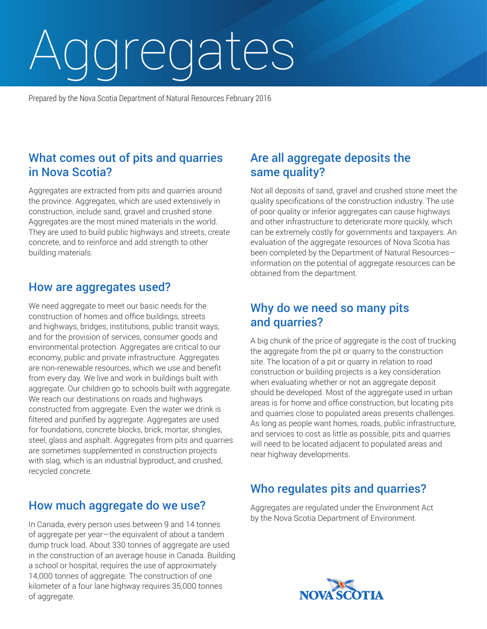# Aggregates

Prepared by the Nova Scotia Department of Natural Resources February 2016

## What comes out of pits and quarries in Nova Scotia?

Aggregates are extracted from pits and quarries around the province. Aggregates, which are used extensively in construction, include sand, gravel and crushed stone. Aggregates are the most mined materials in the world. They are used to build public highways and streets, create concrete, and to reinforce and add strength to other building materials.

### How are aggregates used?

We need aggregate to meet our basic needs for the construction of homes and office buildings, streets and highways, bridges, institutions, public transit ways, and for the provision of services, consumer goods and environmental protection. Aggregates are critical to our economy, public and private infrastructure. Aggregates are non-renewable resources, which we use and benefit from every day. We live and work in buildings built with aggregate. Our children go to schools built with aggregate. We reach our destinations on roads and highways constructed from aggregate. Even the water we drink is filtered and purified by aggregate. Aggregates are used for foundations, concrete blocks, brick, mortar, shingles, steel, glass and asphalt. Aggregates from pits and quarries are sometimes supplemented in construction projects with slag, which is an industrial byproduct, and crushed, recycled concrete.

### How much aggregate do we use?

In Canada, every person uses between 9 and 14 tonnes of aggregate per year—the equivalent of about a tandem dump truck load. About 330 tonnes of aggregate are used in the construction of an average house in Canada. Building a school or hospital, requires the use of approximately 14,000 tonnes of aggregate. The construction of one kilometer of a four lane highway requires 35,000 tonnes of aggregate.

## Are all aggregate deposits the same quality?

Not all deposits of sand, gravel and crushed stone meet the quality specifications of the construction industry. The use of poor quality or inferior aggregates can cause highways and other infrastructure to deteriorate more quickly, which can be extremely costly for governments and taxpayers. An evaluation of the aggregate resources of Nova Scotia has been completed by the Department of Natural Resources information on the potential of aggregate resources can be obtained from the department.

### Why do we need so many pits and quarries?

A big chunk of the price of aggregate is the cost of trucking the aggregate from the pit or quarry to the construction site. The location of a pit or quarry in relation to road construction or building projects is a key consideration when evaluating whether or not an aggregate deposit should be developed. Most of the aggregate used in urban areas is for home and office construction, but locating pits and quarries close to populated areas presents challenges. As long as people want homes, roads, public infrastructure, and services to cost as little as possible, pits and quarries will need to be located adjacent to populated areas and near highway developments.

# Who regulates pits and quarries?

Aggregates are regulated under the Environment Act by the Nova Scotia Department of Environment.